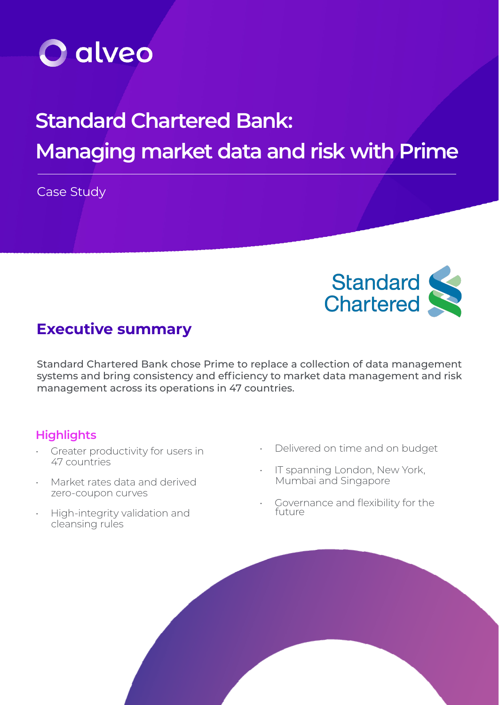

# **Standard Chartered Bank: Managing market data and risk with Prime**

Case Study



# **Executive summary**

Standard Chartered Bank chose Prime to replace a collection of data management systems and bring consistency and efficiency to market data management and risk management across its operations in 47 countries.

# **Highlights**

- Greater productivity for users in 47 countries
- Market rates data and derived zero-coupon curves
- High-integrity validation and cleansing rules
- Delivered on time and on budget
- IT spanning London, New York, Mumbai and Singapore
- Governance and flexibility for the<br>future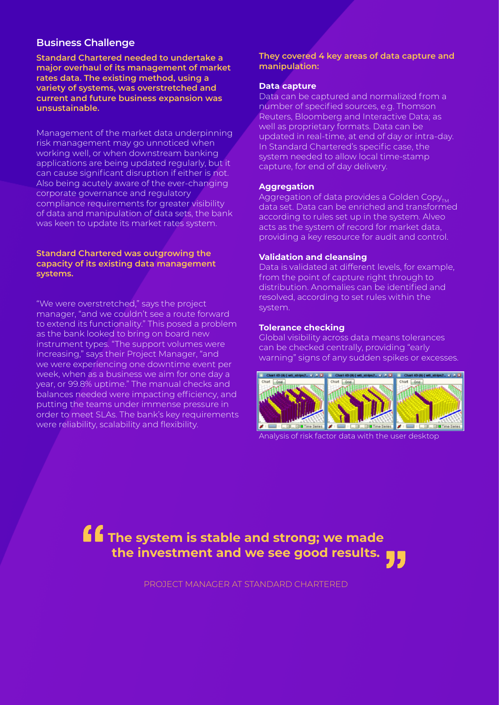### **Business Challenge**

**Standard Chartered needed to undertake a major overhaul of its management of market rates data. The existing method, using a variety of systems, was overstretched and current and future business expansion was unsustainable.**

Management of the market data underpinning risk management may go unnoticed when working well, or when downstream banking applications are being updated regularly, but it can cause significant disruption if either is not. Also being acutely aware of the ever-changing corporate governance and regulatory compliance requirements for greater visibility of data and manipulation of data sets, the bank was keen to update its market rates system.

#### **Standard Chartered was outgrowing the capacity of its existing data management systems.**

"We were overstretched," says the project manager, "and we couldn't see a route forward to extend its functionality." This posed a problem as the bank looked to bring on board new instrument types. "The support volumes were increasing," says their Project Manager, "and we were experiencing one downtime event per week, when as a business we aim for one day a year, or 99.8% uptime." The manual checks and balances needed were impacting efficiency, and putting the teams under immense pressure in order to meet SLAs. The bank's key requirements were reliability, scalability and flexibility.

**They covered 4 key areas of data capture and manipulation:**

#### **Data capture**

Data can be captured and normalized from a number of specified sources, e.g. Thomson Reuters, Bloomberg and Interactive Data; as well as proprietary formats. Data can be updated in real-time, at end of day or intra-day. In Standard Chartered's specific case, the system needed to allow local time-stamp capture, for end of day delivery.

#### **Aggregation**

Aggregation of data provides a Golden Copy $_{TMA}$ data set. Data can be enriched and transformed according to rules set up in the system. Alveo acts as the system of record for market data, providing a key resource for audit and control.

#### **Validation and cleansing**

Data is validated at different levels, for example, from the point of capture right through to distribution. Anomalies can be identified and resolved, according to set rules within the system.

#### **Tolerance checking**

Global visibility across data means tolerances can be checked centrally, providing "early warning" signs of any sudden spikes or excesses.



Analysis of risk factor data with the user desktop



PROJECT MANAGER AT STANDARD CHARTERED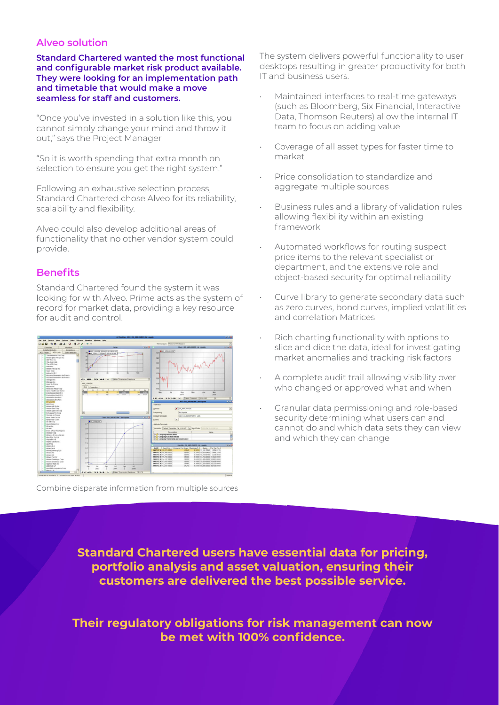## **Alveo solution**

**Standard Chartered wanted the most functional and configurable market risk product available. They were looking for an implementation path and timetable that would make a move seamless for staff and customers.**

"Once you've invested in a solution like this, you cannot simply change your mind and throw it out," says the Project Manager

"So it is worth spending that extra month on selection to ensure you get the right system."

Following an exhaustive selection process, Standard Chartered chose Alveo for its reliability, scalability and flexibility.

Alveo could also develop additional areas of functionality that no other vendor system could provide.

## **Benefits**

Standard Chartered found the system it was looking for with Alveo. Prime acts as the system of record for market data, providing a key resource for audit and control.



Combine disparate information from multiple sources

The system delivers powerful functionality to user desktops resulting in greater productivity for both IT and business users.

- Maintained interfaces to real-time gateways (such as Bloomberg, Six Financial, Interactive Data, Thomson Reuters) allow the internal IT team to focus on adding value
- Coverage of all asset types for faster time to market
- Price consolidation to standardize and aggregate multiple sources
- Business rules and a library of validation rules allowing flexibility within an existing framework
- Automated workflows for routing suspect price items to the relevant specialist or department, and the extensive role and object-based security for optimal reliability
- Curve library to generate secondary data such as zero curves, bond curves, implied volatilities and correlation Matrices
- Rich charting functionality with options to slice and dice the data, ideal for investigating market anomalies and tracking risk factors
- A complete audit trail allowing visibility over who changed or approved what and when
- Granular data permissioning and role-based security determining what users can and cannot do and which data sets they can view and which they can change

**Standard Chartered users have essential data for pricing, portfolio analysis and asset valuation, ensuring their customers are delivered the best possible service.**

**Their regulatory obligations for risk management can now be met with 100% confidence.**